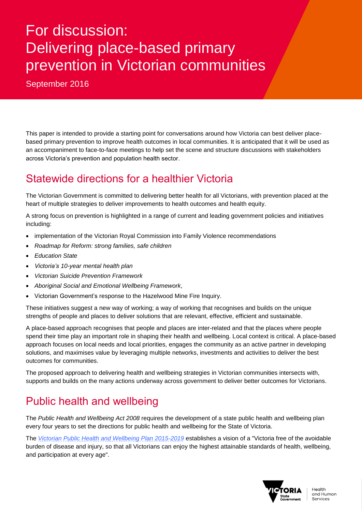# For discussion: Delivering place-based primary prevention in Victorian communities

September 2016

This paper is intended to provide a starting point for conversations around how Victoria can best deliver placebased primary prevention to improve health outcomes in local communities. It is anticipated that it will be used as an accompaniment to face-to-face meetings to help set the scene and structure discussions with stakeholders across Victoria's prevention and population health sector.

# Statewide directions for a healthier Victoria

The Victorian Government is committed to delivering better health for all Victorians, with prevention placed at the heart of multiple strategies to deliver improvements to health outcomes and health equity.

A strong focus on prevention is highlighted in a range of current and leading government policies and initiatives including:

- implementation of the Victorian Royal Commission into Family Violence recommendations
- *Roadmap for Reform: strong families, safe children*
- *Education State*
- *Victoria's 10-year mental health plan*
- *Victorian Suicide Prevention Framework*
- *Aboriginal Social and Emotional Wellbeing Framework*,
- Victorian Government's response to the Hazelwood Mine Fire Inquiry.

These initiatives suggest a new way of working; a way of working that recognises and builds on the unique strengths of people and places to deliver solutions that are relevant, effective, efficient and sustainable.

A place-based approach recognises that people and places are inter-related and that the places where people spend their time play an important role in shaping their health and wellbeing. Local context is critical. A place-based approach focuses on local needs and local priorities, engages the community as an active partner in developing solutions, and maximises value by leveraging multiple networks, investments and activities to deliver the best outcomes for communities.

The proposed approach to delivering health and wellbeing strategies in Victorian communities intersects with, supports and builds on the many actions underway across government to deliver better outcomes for Victorians.

### Public health and wellbeing

The *Public Health and Wellbeing Act 2008* requires the development of a state public health and wellbeing plan every four years to set the directions for public health and wellbeing for the State of Victoria.

The *[Victorian Public Health and Wellbeing Plan 2015-2019](https://www2.health.vic.gov.au/about/health-strategies/public-health-wellbeing-plan)* establishes a vision of a "Victoria free of the avoidable burden of disease and injury, so that all Victorians can enjoy the highest attainable standards of health, wellbeing, and participation at every age".

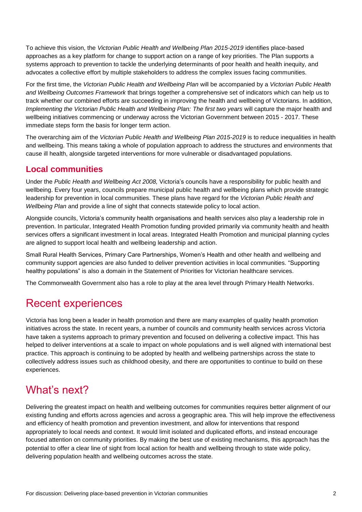To achieve this vision, the *Victorian Public Health and Wellbeing Plan 2015-2019* identifies place-based approaches as a key platform for change to support action on a range of key priorities. The Plan supports a systems approach to prevention to tackle the underlying determinants of poor health and health inequity, and advocates a collective effort by multiple stakeholders to address the complex issues facing communities.

For the first time, the *Victorian Public Health and Wellbeing Plan* will be accompanied by a *Victorian Public Health and Wellbeing Outcomes Framework* that brings together a comprehensive set of indicators which can help us to track whether our combined efforts are succeeding in improving the health and wellbeing of Victorians. In addition, *Implementing the Victorian Public Health and Wellbeing Plan: The first two years* will capture the major health and wellbeing initiatives commencing or underway across the Victorian Government between 2015 - 2017. These immediate steps form the basis for longer term action.

The overarching aim of the *Victorian Public Health and Wellbeing Plan 2015-2019* is to reduce inequalities in health and wellbeing. This means taking a whole of population approach to address the structures and environments that cause ill health, alongside targeted interventions for more vulnerable or disadvantaged populations.

#### **Local communities**

Under the *Public Health and Wellbeing Act 2008,* Victoria's councils have a responsibility for public health and wellbeing. Every four years, councils prepare municipal public health and wellbeing plans which provide strategic leadership for prevention in local communities. These plans have regard for the *Victorian Public Health and Wellbeing Plan* and provide a line of sight that connects statewide policy to local action.

Alongside councils, Victoria's community health organisations and health services also play a leadership role in prevention. In particular, Integrated Health Promotion funding provided primarily via community health and health services offers a significant investment in local areas. Integrated Health Promotion and municipal planning cycles are aligned to support local health and wellbeing leadership and action.

Small Rural Health Services, Primary Care Partnerships, Women's Health and other health and wellbeing and community support agencies are also funded to deliver prevention activities in local communities. "Supporting healthy populations" is also a domain in the Statement of Priorities for Victorian healthcare services.

The Commonwealth Government also has a role to play at the area level through Primary Health Networks.

### Recent experiences

Victoria has long been a leader in health promotion and there are many examples of quality health promotion initiatives across the state. In recent years, a number of councils and community health services across Victoria have taken a systems approach to primary prevention and focused on delivering a collective impact. This has helped to deliver interventions at a scale to impact on whole populations and is well aligned with international best practice. This approach is continuing to be adopted by health and wellbeing partnerships across the state to collectively address issues such as childhood obesity, and there are opportunities to continue to build on these experiences.

### What's next?

Delivering the greatest impact on health and wellbeing outcomes for communities requires better alignment of our existing funding and efforts across agencies and across a geographic area. This will help improve the effectiveness and efficiency of health promotion and prevention investment, and allow for interventions that respond appropriately to local needs and context. It would limit isolated and duplicated efforts, and instead encourage focused attention on community priorities. By making the best use of existing mechanisms, this approach has the potential to offer a clear line of sight from local action for health and wellbeing through to state wide policy, delivering population health and wellbeing outcomes across the state.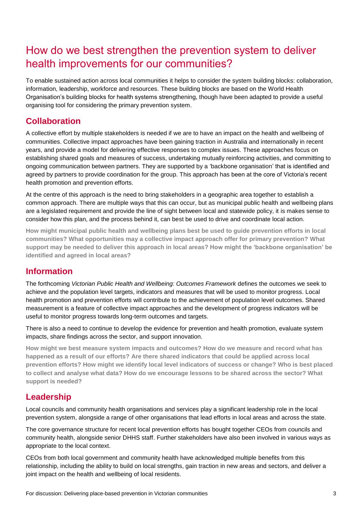## How do we best strengthen the prevention system to deliver health improvements for our communities?

To enable sustained action across local communities it helps to consider the system building blocks: collaboration, information, leadership, workforce and resources. These building blocks are based on the World Health Organisation's building blocks for health systems strengthening, though have been adapted to provide a useful organising tool for considering the primary prevention system.

#### **Collaboration**

A collective effort by multiple stakeholders is needed if we are to have an impact on the health and wellbeing of communities. Collective impact approaches have been gaining traction in Australia and internationally in recent years, and provide a model for delivering effective responses to complex issues. These approaches focus on establishing shared goals and measures of success, undertaking mutually reinforcing activities, and committing to ongoing communication between partners. They are supported by a 'backbone organisation' that is identified and agreed by partners to provide coordination for the group. This approach has been at the core of Victoria's recent health promotion and prevention efforts.

At the centre of this approach is the need to bring stakeholders in a geographic area together to establish a common approach. There are multiple ways that this can occur, but as municipal public health and wellbeing plans are a legislated requirement and provide the line of sight between local and statewide policy, it is makes sense to consider how this plan, and the process behind it, can best be used to drive and coordinate local action.

**How might municipal public health and wellbeing plans best be used to guide prevention efforts in local communities? What opportunities may a collective impact approach offer for primary prevention? What support may be needed to deliver this approach in local areas? How might the 'backbone organisation' be identified and agreed in local areas?**

#### **Information**

The forthcoming *Victorian Public Health and Wellbeing: Outcomes Framework* defines the outcomes we seek to achieve and the population level targets, indicators and measures that will be used to monitor progress. Local health promotion and prevention efforts will contribute to the achievement of population level outcomes. Shared measurement is a feature of collective impact approaches and the development of progress indicators will be useful to monitor progress towards long-term outcomes and targets.

There is also a need to continue to develop the evidence for prevention and health promotion, evaluate system impacts, share findings across the sector, and support innovation.

**How might we best measure system impacts and outcomes? How do we measure and record what has happened as a result of our efforts? Are there shared indicators that could be applied across local prevention efforts? How might we identify local level indicators of success or change? Who is best placed to collect and analyse what data? How do we encourage lessons to be shared across the sector? What support is needed?** 

#### **Leadership**

Local councils and community health organisations and services play a significant leadership role in the local prevention system, alongside a range of other organisations that lead efforts in local areas and across the state.

The core governance structure for recent local prevention efforts has bought together CEOs from councils and community health, alongside senior DHHS staff. Further stakeholders have also been involved in various ways as appropriate to the local context.

CEOs from both local government and community health have acknowledged multiple benefits from this relationship, including the ability to build on local strengths, gain traction in new areas and sectors, and deliver a joint impact on the health and wellbeing of local residents.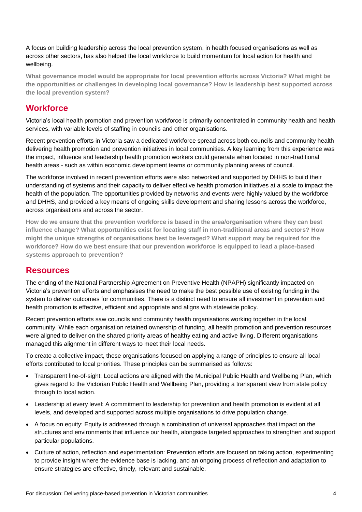A focus on building leadership across the local prevention system, in health focused organisations as well as across other sectors, has also helped the local workforce to build momentum for local action for health and wellbeing.

**What governance model would be appropriate for local prevention efforts across Victoria? What might be the opportunities or challenges in developing local governance? How is leadership best supported across the local prevention system?** 

#### **Workforce**

Victoria's local health promotion and prevention workforce is primarily concentrated in community health and health services, with variable levels of staffing in councils and other organisations.

Recent prevention efforts in Victoria saw a dedicated workforce spread across both councils and community health delivering health promotion and prevention initiatives in local communities. A key learning from this experience was the impact, influence and leadership health promotion workers could generate when located in non-traditional health areas - such as within economic development teams or community planning areas of council.

The workforce involved in recent prevention efforts were also networked and supported by DHHS to build their understanding of systems and their capacity to deliver effective health promotion initiatives at a scale to impact the health of the population. The opportunities provided by networks and events were highly valued by the workforce and DHHS, and provided a key means of ongoing skills development and sharing lessons across the workforce, across organisations and across the sector.

**How do we ensure that the prevention workforce is based in the area/organisation where they can best influence change? What opportunities exist for locating staff in non-traditional areas and sectors? How might the unique strengths of organisations best be leveraged? What support may be required for the workforce? How do we best ensure that our prevention workforce is equipped to lead a place-based systems approach to prevention?**

#### **Resources**

The ending of the National Partnership Agreement on Preventive Health (NPAPH) significantly impacted on Victoria's prevention efforts and emphasises the need to make the best possible use of existing funding in the system to deliver outcomes for communities. There is a distinct need to ensure all investment in prevention and health promotion is effective, efficient and appropriate and aligns with statewide policy.

Recent prevention efforts saw councils and community health organisations working together in the local community. While each organisation retained ownership of funding, all health promotion and prevention resources were aligned to deliver on the shared priority areas of healthy eating and active living. Different organisations managed this alignment in different ways to meet their local needs.

To create a collective impact, these organisations focused on applying a range of principles to ensure all local efforts contributed to local priorities. These principles can be summarised as follows:

- Transparent line-of-sight: Local actions are aligned with the Municipal Public Health and Wellbeing Plan, which gives regard to the Victorian Public Health and Wellbeing Plan, providing a transparent view from state policy through to local action.
- Leadership at every level: A commitment to leadership for prevention and health promotion is evident at all levels, and developed and supported across multiple organisations to drive population change.
- A focus on equity: Equity is addressed through a combination of universal approaches that impact on the structures and environments that influence our health, alongside targeted approaches to strengthen and support particular populations.
- Culture of action, reflection and experimentation: Prevention efforts are focused on taking action, experimenting to provide insight where the evidence base is lacking, and an ongoing process of reflection and adaptation to ensure strategies are effective, timely, relevant and sustainable.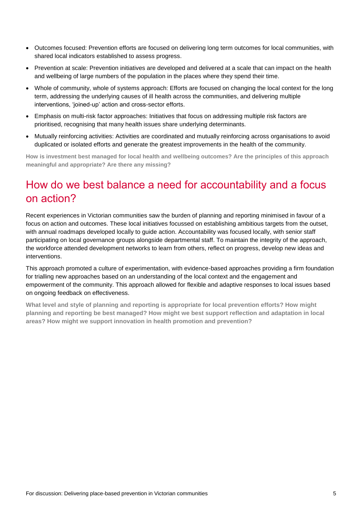- Outcomes focused: Prevention efforts are focused on delivering long term outcomes for local communities, with shared local indicators established to assess progress.
- Prevention at scale: Prevention initiatives are developed and delivered at a scale that can impact on the health and wellbeing of large numbers of the population in the places where they spend their time.
- Whole of community, whole of systems approach: Efforts are focused on changing the local context for the long term, addressing the underlying causes of ill health across the communities, and delivering multiple interventions, 'joined-up' action and cross-sector efforts.
- Emphasis on multi-risk factor approaches: Initiatives that focus on addressing multiple risk factors are prioritised, recognising that many health issues share underlying determinants.
- Mutually reinforcing activities: Activities are coordinated and mutually reinforcing across organisations to avoid duplicated or isolated efforts and generate the greatest improvements in the health of the community.

**How is investment best managed for local health and wellbeing outcomes? Are the principles of this approach meaningful and appropriate? Are there any missing?** 

### How do we best balance a need for accountability and a focus on action?

Recent experiences in Victorian communities saw the burden of planning and reporting minimised in favour of a focus on action and outcomes. These local initiatives focussed on establishing ambitious targets from the outset, with annual roadmaps developed locally to quide action. Accountability was focused locally, with senior staff participating on local governance groups alongside departmental staff. To maintain the integrity of the approach, the workforce attended development networks to learn from others, reflect on progress, develop new ideas and interventions.

This approach promoted a culture of experimentation, with evidence-based approaches providing a firm foundation for trialling new approaches based on an understanding of the local context and the engagement and empowerment of the community. This approach allowed for flexible and adaptive responses to local issues based on ongoing feedback on effectiveness.

**What level and style of planning and reporting is appropriate for local prevention efforts? How might planning and reporting be best managed? How might we best support reflection and adaptation in local areas? How might we support innovation in health promotion and prevention?**